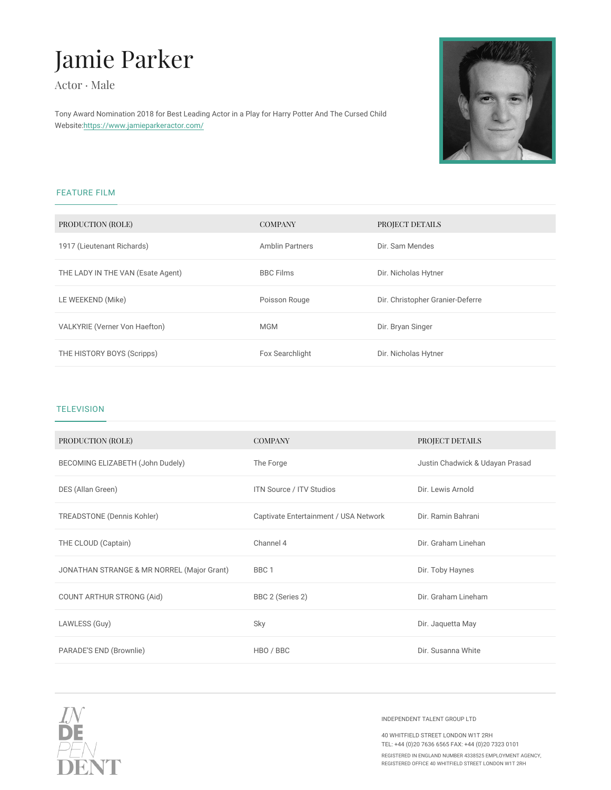# Jamie Parker

Actor · Male

Tony Award Nomination 2018 for Best Leading Actor in a Play for Harry Potter And The Cursed Child Webs $i$ ttet: $p s$ ://www.jamieparkeractor.com/

## FEATURE FILM

| PRODUCTION (ROLE)                           | COMPANY         | PROJECT DETAILS                  |
|---------------------------------------------|-----------------|----------------------------------|
| 1917 (Lieutenant Richards)                  | Amblin Partners | Dir. Sam Mendes                  |
| THE LADY IN THE VAN (Esate Agent) BBC Films |                 | Dir. Nicholas Hytner             |
| LE WEEKEND (Mike)                           | Poisson Rouge   | Dir. Christopher Granier-Deferre |
| VALKYRIE (Verner Von Haefton)               | M G M           | Dir. Bryan Singer                |
| THE HISTORY BOYS (Scripps)                  | Fox Searchlight | Dir. Nicholas Hytner             |

### TELEVISION

| PRODUCTION (ROLE)                                                              | COMPANY                  | PROJECT DETAILS                 |  |
|--------------------------------------------------------------------------------|--------------------------|---------------------------------|--|
| BECOMING ELIZABETH (John Dudely The Forge                                      |                          | Justin Chadwick & Udayan Prasad |  |
| DES (Allan Green)                                                              | ITN Source / ITV Studios | Dir. Lewis Arnold               |  |
| TREADSTONE (Dennis Kohler) Captivate Entertainment / USA DNietwRoaknin Bahrani |                          |                                 |  |
| THE CLOUD (Captain)                                                            | Channel 4                | Dir. Graham Linehan             |  |
| JONATHAN STRANGE & MR NORREL BMB aGjoir Grant)                                 |                          | Dir. Toby Haynes                |  |
| COUNT ARTHUR STRONG (Aid) BBC 2 (Series 2)                                     |                          | Dir. Graham Lineham             |  |
| LAWLESS (Guy)                                                                  | Sky                      | Dir. Jaquetta May               |  |
| PARADE S END (Brownlie) HBO / BBC                                              |                          | Dir. Susanna White              |  |

#### INDEPENDENT TALENT GROUP LTD

40 WHITFIELD STREET LONDON W1T 2RH TEL: +44 (0)20 7636 6565 FAX: +44 (0)20 7323 0101 REGISTERED IN ENGLAND NUMBER 4338525 EMPLOYMENT AGI<br>REGISTERED OFFICE 40 WHITFIELD STREET LONDON W1T 2RH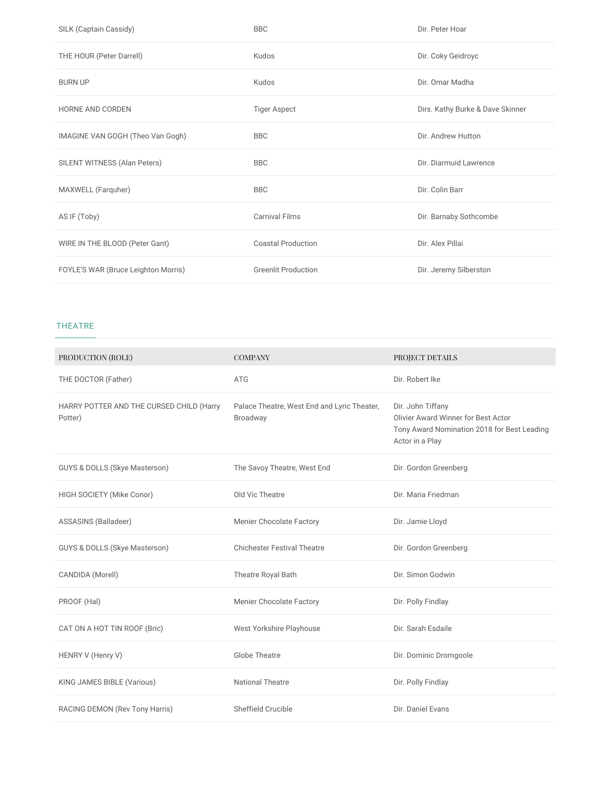| SILK (Captain Cassidy)              | <b>BBC</b>                 | Dir. Peter Hoar                  |
|-------------------------------------|----------------------------|----------------------------------|
| THE HOUR (Peter Darrell)            | Kudos                      | Dir. Coky Geidroyc               |
| <b>BURN UP</b>                      | Kudos                      | Dir. Omar Madha                  |
| HORNE AND CORDEN                    | <b>Tiger Aspect</b>        | Dirs. Kathy Burke & Dave Skinner |
| IMAGINE VAN GOGH (Theo Van Gogh)    | <b>BBC</b>                 | Dir. Andrew Hutton               |
| SILENT WITNESS (Alan Peters)        | <b>BBC</b>                 | Dir. Diarmuid Lawrence           |
| MAXWELL (Farquher)                  | <b>BBC</b>                 | Dir. Colin Barr                  |
| AS IF (Toby)                        | <b>Carnival Films</b>      | Dir. Barnaby Sothcombe           |
| WIRE IN THE BLOOD (Peter Gant)      | <b>Coastal Production</b>  | Dir. Alex Pillai                 |
| FOYLE'S WAR (Bruce Leighton Morris) | <b>Greenlit Production</b> | Dir. Jeremy Silberston           |

#### THEATRE

| PRODUCTION (ROLE)                                   | <b>COMPANY</b>                                          | PROJECT DETAILS                                                                                                            |
|-----------------------------------------------------|---------------------------------------------------------|----------------------------------------------------------------------------------------------------------------------------|
| THE DOCTOR (Father)                                 | <b>ATG</b>                                              | Dir. Robert Ike                                                                                                            |
| HARRY POTTER AND THE CURSED CHILD (Harry<br>Potter) | Palace Theatre, West End and Lyric Theater,<br>Broadway | Dir. John Tiffany<br>Olivier Award Winner for Best Actor<br>Tony Award Nomination 2018 for Best Leading<br>Actor in a Play |
| <b>GUYS &amp; DOLLS (Skye Masterson)</b>            | The Savoy Theatre, West End                             | Dir. Gordon Greenberg                                                                                                      |
| HIGH SOCIETY (Mike Conor)                           | Old Vic Theatre                                         | Dir. Maria Friedman                                                                                                        |
| ASSASINS (Balladeer)                                | Menier Chocolate Factory                                | Dir. Jamie Lloyd                                                                                                           |
| GUYS & DOLLS (Skye Masterson)                       | <b>Chichester Festival Theatre</b>                      | Dir. Gordon Greenberg                                                                                                      |
| CANDIDA (Morell)                                    | Theatre Royal Bath                                      | Dir. Simon Godwin                                                                                                          |
| PROOF (Hal)                                         | <b>Menier Chocolate Factory</b>                         | Dir. Polly Findlay                                                                                                         |
| CAT ON A HOT TIN ROOF (Bric)                        | West Yorkshire Playhouse                                | Dir. Sarah Esdaile                                                                                                         |
| HENRY V (Henry V)                                   | <b>Globe Theatre</b>                                    | Dir. Dominic Dromgoole                                                                                                     |
| KING JAMES BIBLE (Various)                          | <b>National Theatre</b>                                 | Dir. Polly Findlay                                                                                                         |
| RACING DEMON (Rev Tony Harris)                      | Sheffield Crucible                                      | Dir. Daniel Evans                                                                                                          |